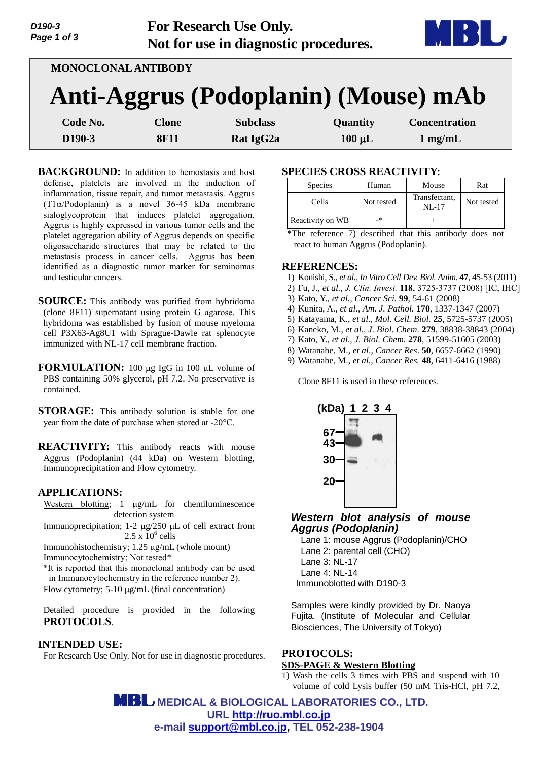| D190-3<br>Page 1 of 3 |                            | <b>For Research Use Only.</b><br>Not for use in diagnostic procedures. |             | 63 U                 |
|-----------------------|----------------------------|------------------------------------------------------------------------|-------------|----------------------|
|                       | <b>MONOCLONAL ANTIBODY</b> |                                                                        |             |                      |
|                       |                            | Anti-Aggrus (Podoplanin) (Mouse) mAb                                   |             |                      |
| Code No.              | <b>Clone</b>               | <b>Subclass</b>                                                        | Quantity    | <b>Concentration</b> |
| D <sub>190</sub> -3   | <b>8F11</b>                | Rat IgG <sub>2a</sub>                                                  | $100 \mu L$ | $1$ mg/mL            |

**BACKGROUND:** In addition to hemostasis and host defense, platelets are involved in the induction of inflammation, tissue repair, and tumor metastasis. Aggrus  $(T1\alpha/Podoplanin)$  is a novel 36-45 kDa membrane sialoglycoprotein that induces platelet aggregation. Aggrus is highly expressed in various tumor cells and the platelet aggregation ability of Aggrus depends on specific oligosaccharide structures that may be related to the metastasis process in cancer cells. Aggrus has been identified as a diagnostic tumor marker for seminomas and testicular cancers.

**SOURCE:** This antibody was purified from hybridoma (clone 8F11) supernatant using protein G agarose. This hybridoma was established by fusion of mouse myeloma cell P3X63-Ag8U1 with Sprague-Dawle rat splenocyte immunized with NL-17 cell membrane fraction.

**FORMULATION:** 100 µg IgG in 100 µL volume of PBS containing 50% glycerol, pH 7.2. No preservative is contained.

**STORAGE:** This antibody solution is stable for one year from the date of purchase when stored at -20°C.

**REACTIVITY:** This antibody reacts with mouse Aggrus (Podoplanin) (44 kDa) on Western blotting, Immunoprecipitation and Flow cytometry.

### **APPLICATIONS:**

Western blotting;  $1 \mu g/mL$  for chemiluminescence detection system Immunoprecipitation; 1-2  $\mu$ g/250  $\mu$ L of cell extract from  $2.5 \times 10^6$  cells Immunohistochemistry;  $1.25 \mu g/mL$  (whole mount) Immunocytochemistry; Not tested\*

\*It is reported that this monoclonal antibody can be used in Immunocytochemistry in the reference number 2). Flow cytometry; 5-10 µg/mL (final concentration)

Detailed procedure is provided in the following **PROTOCOLS**.

#### **INTENDED USE:**

For Research Use Only. Not for use in diagnostic procedures.

## **SPECIES CROSS REACTIVITY:**

| Species          | Human      | Mouse                      | Rat        |
|------------------|------------|----------------------------|------------|
| Cells            | Not tested | Transfectant,<br>$NI - 17$ | Not tested |
| Reactivity on WB | _*         |                            |            |

\*The reference 7) described that this antibody does not react to human Aggrus (Podoplanin).

#### **REFERENCES:**

- 1) Konishi, S., *et al., In Vitro Cell Dev. Biol. Anim.* **47**, 45-53 (2011)
- 2) Fu, J., *et al., J. Clin. [Invest.](http://www.ncbi.nlm.nih.gov/pubmed/?term=Endothelial+O-glycan+deficiency+causes+blood%2Flymphatic+misconnections+and+consequent+fatty+liver+disease+in+mice+Jianxin)* **118**, 3725-3737 (2008) [IC, IHC]
- 3) Kato, Y., *et al., Cancer Sci.* **99**, 54-61 (2008)
- 4) Kunita, A., *et al., Am. J. Pathol.* **170**, 1337-1347 (2007)
- 5) Katayama, K., *et al., Mol. Cell. Biol.* **25**, 5725-5737 (2005)
- 6) Kaneko, M., *et al., J. Biol. Chem.* **279**, 38838-38843 (2004)
- 7) Kato, Y., *et al*., *J. Biol. Chem.* **278**, 51599-51605 (2003)
- 8) Watanabe, M., *et al*., *Cancer Res*. **50**, 6657-6662 (1990)
- 9) Watanabe, M., *et al., Cancer Res.* **48**, 6411-6416 (1988)

Clone 8F11 is used in these references.



### *Western blot analysis of mouse Aggrus (Podoplanin)*

Lane 1: mouse Aggrus (Podoplanin)/CHO Lane 2: parental cell (CHO) Lane 3: NL-17 Lane 4: NL-14 Immunoblotted with D190-3

Samples were kindly provided by Dr. Naoya Fujita. (Institute of Molecular and Cellular Biosciences, The University of Tokyo)

# **PROTOCOLS:**

### **SDS-PAGE & Western Blotting**

1) Wash the cells 3 times with PBS and suspend with 10 volume of cold Lysis buffer (50 mM Tris-HCl, pH 7.2,

 **MEDICAL & BIOLOGICAL LABORATORIES CO., LTD. URL [http://ruo.mbl.co.jp](http://ruo.mbl.co.jp/) e-mail [support@mbl.co.jp,](mailto:support@mbl.co.jp) TEL 052-238-1904**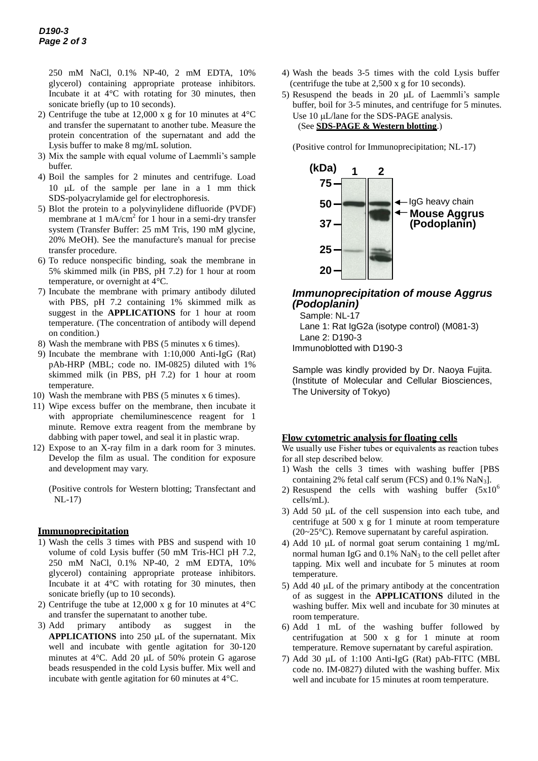250 mM NaCl, 0.1% NP-40, 2 mM EDTA, 10% glycerol) containing appropriate protease inhibitors. Incubate it at 4°C with rotating for 30 minutes, then sonicate briefly (up to 10 seconds).

- 2) Centrifuge the tube at 12,000 x g for 10 minutes at 4°C and transfer the supernatant to another tube. Measure the protein concentration of the supernatant and add the Lysis buffer to make 8 mg/mL solution.
- 3) Mix the sample with equal volume of Laemmli's sample buffer.
- 4) Boil the samples for 2 minutes and centrifuge. Load 10  $\mu$ L of the sample per lane in a 1 mm thick SDS-polyacrylamide gel for electrophoresis.
- 5) Blot the protein to a polyvinylidene difluoride (PVDF) membrane at 1 mA/ $\text{cm}^2$  for 1 hour in a semi-dry transfer system (Transfer Buffer: 25 mM Tris, 190 mM glycine, 20% MeOH). See the manufacture's manual for precise transfer procedure.
- 6) To reduce nonspecific binding, soak the membrane in 5% skimmed milk (in PBS, pH 7.2) for 1 hour at room temperature, or overnight at 4°C.
- 7) Incubate the membrane with primary antibody diluted with PBS, pH 7.2 containing 1% skimmed milk as suggest in the **APPLICATIONS** for 1 hour at room temperature. (The concentration of antibody will depend on condition.)
- 8) Wash the membrane with PBS (5 minutes x 6 times).
- 9) Incubate the membrane with 1:10,000 Anti-IgG (Rat) pAb-HRP (MBL; code no. IM-0825) diluted with 1% skimmed milk (in PBS, pH 7.2) for 1 hour at room temperature.
- 10) Wash the membrane with PBS (5 minutes x 6 times).
- 11) Wipe excess buffer on the membrane, then incubate it with appropriate chemiluminescence reagent for 1 minute. Remove extra reagent from the membrane by dabbing with paper towel, and seal it in plastic wrap.
- 12) Expose to an X-ray film in a dark room for 3 minutes. Develop the film as usual. The condition for exposure and development may vary.

(Positive controls for Western blotting; Transfectant and NL-17)

### **Immunoprecipitation**

- 1) Wash the cells 3 times with PBS and suspend with 10 volume of cold Lysis buffer (50 mM Tris-HCl pH 7.2, 250 mM NaCl, 0.1% NP-40, 2 mM EDTA, 10% glycerol) containing appropriate protease inhibitors. Incubate it at 4°C with rotating for 30 minutes, then sonicate briefly (up to 10 seconds).
- 2) Centrifuge the tube at 12,000 x g for 10 minutes at 4°C and transfer the supernatant to another tube.
- 3) Add primary antibody as suggest in the **APPLICATIONS** into 250 µL of the supernatant. Mix well and incubate with gentle agitation for 30-120 minutes at  $4^{\circ}$ C. Add 20 µL of 50% protein G agarose beads resuspended in the cold Lysis buffer. Mix well and incubate with gentle agitation for 60 minutes at 4°C.
- 4) Wash the beads 3-5 times with the cold Lysis buffer (centrifuge the tube at 2,500 x g for 10 seconds).
- 5) Resuspend the beads in 20  $\mu$ L of Laemmli's sample buffer, boil for 3-5 minutes, and centrifuge for 5 minutes. Use 10 uL/lane for the SDS-PAGE analysis. (See **SDS-PAGE & Western blotting**.)

(Positive control for Immunoprecipitation; NL-17)



# *Immunoprecipitation of mouse Aggrus (Podoplanin)*

Sample: NL-17 Lane 1: Rat IgG2a (isotype control) (M081-3) Lane 2: D190-3 Immunoblotted with D190-3

Sample was kindly provided by Dr. Naoya Fujita. (Institute of Molecular and Cellular Biosciences, The University of Tokyo)

### **Flow cytometric analysis for floating cells**

We usually use Fisher tubes or equivalents as reaction tubes for all step described below.

- 1) Wash the cells 3 times with washing buffer [PBS containing 2% fetal calf serum (FCS) and  $0.1\%$  NaN<sub>3</sub>].
- 2) Resuspend the cells with washing buffer  $(5x10^6)$ cells/mL).
- 3) Add 50  $\mu$ L of the cell suspension into each tube, and centrifuge at 500 x g for 1 minute at room temperature (20~25°C). Remove supernatant by careful aspiration.
- 4) Add 10  $\mu$ L of normal goat serum containing 1 mg/mL normal human IgG and  $0.1\%$  NaN<sub>3</sub> to the cell pellet after tapping. Mix well and incubate for 5 minutes at room temperature.
- 5) Add 40  $\mu$ L of the primary antibody at the concentration of as suggest in the **APPLICATIONS** diluted in the washing buffer. Mix well and incubate for 30 minutes at room temperature.
- 6) Add 1 mL of the washing buffer followed by centrifugation at 500 x g for 1 minute at room temperature. Remove supernatant by careful aspiration.
- 7) Add 30  $\mu$ L of 1:100 Anti-IgG (Rat) pAb-FITC (MBL code no. IM-0827) diluted with the washing buffer. Mix well and incubate for 15 minutes at room temperature.